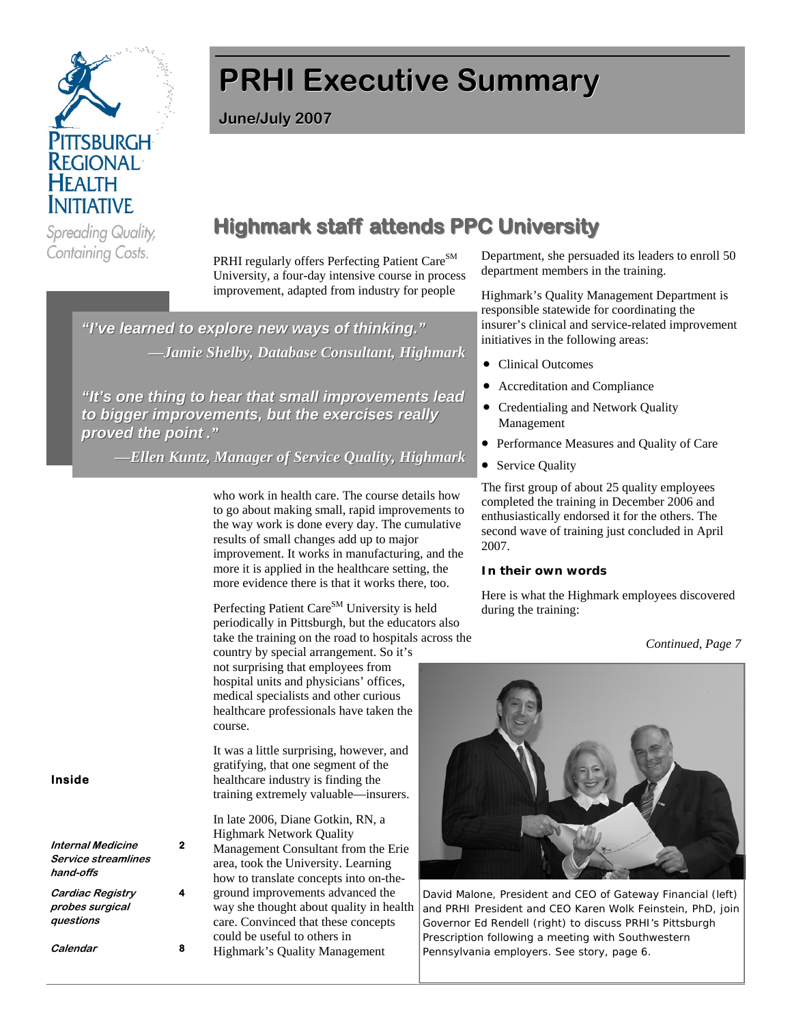

# **PRHI Executive Summary**

**June/July 2007**

#### **Highmark staff attends PPC University Highmark staff attends PPC University** Spreading Quality, Containing Costs.

PRHI regularly offers Perfecting Patient Care<sup>SM</sup> University, a four-day intensive course in process improvement, adapted from industry for people

*"I've learned to explore new ways of thinking." "I've learned to explore new ways of thinking." —Jamie Shelby, Database Consultant, Highmark Jamie Shelby, Database Consultant, Highmark*

*"It's one thing to hear that "It's one thing to hear that small improvements lead improvements lead to bigger improvements, but the exercises really to improvements, but the really proved the point proved the point ."*

*—Ellen Kuntz, Manager of Service Quality, Highmark Ellen Kuntz, Manager of Service Quality, Highmark*

who work in health care. The course details how to go about making small, rapid improvements to the way work is done every day. The cumulative results of small changes add up to major improvement. It works in manufacturing, and the more it is applied in the healthcare setting, the more evidence there is that it works there, too.

Perfecting Patient Care<sup>SM</sup> University is held periodically in Pittsburgh, but the educators also take the training on the road to hospitals across the

country by special arrangement. So it's not surprising that employees from hospital units and physicians' offices, medical specialists and other curious healthcare professionals have taken the course.

It was a little surprising, however, and gratifying, that one segment of the healthcare industry is finding the training extremely valuable—insurers.

In late 2006, Diane Gotkin, RN, a Highmark Network Quality Management Consultant from the Erie area, took the University. Learning how to translate concepts into on-theground improvements advanced the way she thought about quality in health care. Convinced that these concepts could be useful to others in Highmark's Quality Management

Department, she persuaded its leaders to enroll 50 department members in the training.

Highmark's Quality Management Department is responsible statewide for coordinating the insurer's clinical and service-related improvement initiatives in the following areas:

- Clinical Outcomes
- Accreditation and Compliance
- Credentialing and Network Quality Management
- Performance Measures and Quality of Care
- Service Quality

The first group of about 25 quality employees completed the training in December 2006 and enthusiastically endorsed it for the others. The second wave of training just concluded in April 2007.

#### **In their own words**

Here is what the Highmark employees discovered during the training:

### *Continued, Page 7*



David Malone, President and CEO of Gateway Financial (left) and PRHI President and CEO Karen Wolk Feinstein, PhD, join Governor Ed Rendell (right) to discuss PRHI's Pittsburgh Prescription following a meeting with Southwestern Pennsylvania employers. See story, page 6.

### **Inside**

**Internal Medicine Service streamlines hand-offs** 

**2**

**4** 

**Cardiac Registry probes surgical questions** 

**Calendar 8**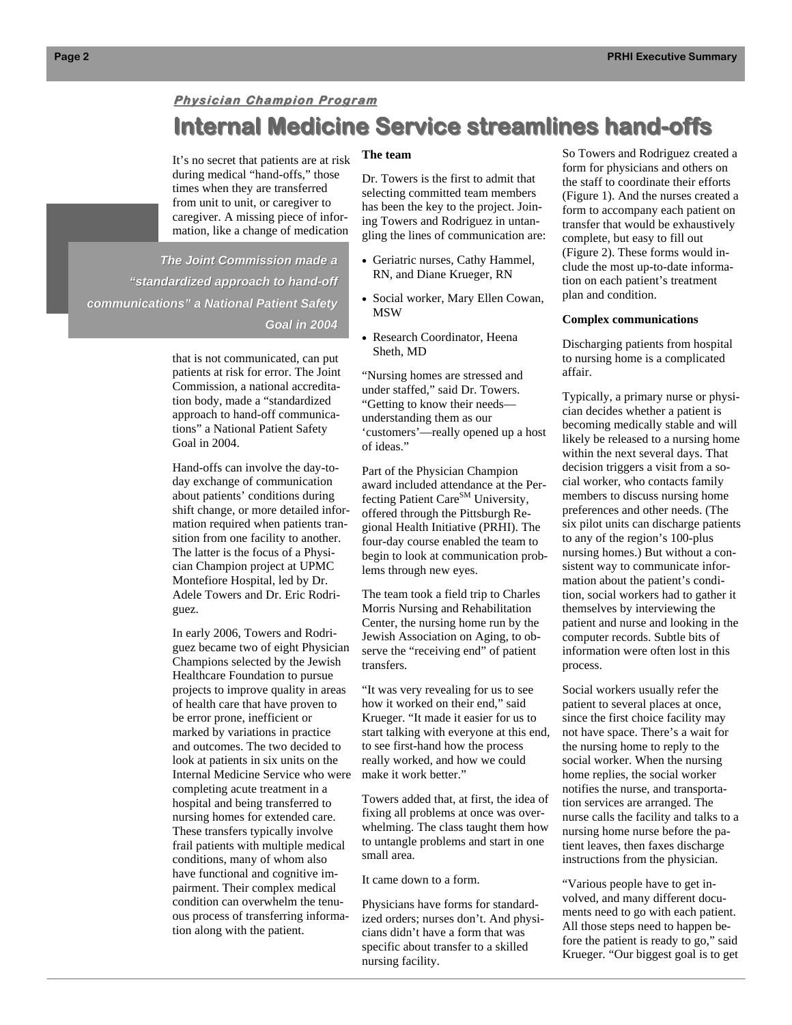# **Physician Champion Program Internal Medicine Service streamlines hand-offs**

It's no secret that patients are at risk during medical "hand-offs," those times when they are transferred from unit to unit, or caregiver to caregiver. A missing piece of information, like a change of medication

*The Joint Commission made a The Joint Commission made a "standardized approach to hand-off communications" a National Patient Safety communications" a National Patient Safety Goal in 2004*

> that is not communicated, can put patients at risk for error. The Joint Commission, a national accreditation body, made a "standardized approach to hand-off communications" a National Patient Safety Goal in 2004.

Hand-offs can involve the day-today exchange of communication about patients' conditions during shift change, or more detailed information required when patients transition from one facility to another. The latter is the focus of a Physician Champion project at UPMC Montefiore Hospital, led by Dr. Adele Towers and Dr. Eric Rodriguez.

In early 2006, Towers and Rodriguez became two of eight Physician Champions selected by the Jewish Healthcare Foundation to pursue projects to improve quality in areas of health care that have proven to be error prone, inefficient or marked by variations in practice and outcomes. The two decided to look at patients in six units on the Internal Medicine Service who were completing acute treatment in a hospital and being transferred to nursing homes for extended care. These transfers typically involve frail patients with multiple medical conditions, many of whom also have functional and cognitive impairment. Their complex medical condition can overwhelm the tenuous process of transferring information along with the patient.

#### **The team**

Dr. Towers is the first to admit that selecting committed team members has been the key to the project. Joining Towers and Rodriguez in untangling the lines of communication are:

- Geriatric nurses, Cathy Hammel, RN, and Diane Krueger, RN
- Social worker, Mary Ellen Cowan, **MSW**
- Research Coordinator, Heena Sheth, MD

"Nursing homes are stressed and under staffed," said Dr. Towers. "Getting to know their needs understanding them as our 'customers'—really opened up a host of ideas."

Part of the Physician Champion award included attendance at the Perfecting Patient Care<sup>SM</sup> University, offered through the Pittsburgh Regional Health Initiative (PRHI). The four-day course enabled the team to begin to look at communication problems through new eyes.

The team took a field trip to Charles Morris Nursing and Rehabilitation Center, the nursing home run by the Jewish Association on Aging, to observe the "receiving end" of patient transfers.

"It was very revealing for us to see how it worked on their end," said Krueger. "It made it easier for us to start talking with everyone at this end, to see first-hand how the process really worked, and how we could make it work better."

Towers added that, at first, the idea of fixing all problems at once was overwhelming. The class taught them how to untangle problems and start in one small area.

It came down to a form.

Physicians have forms for standardized orders; nurses don't. And physicians didn't have a form that was specific about transfer to a skilled nursing facility.

So Towers and Rodriguez created a form for physicians and others on the staff to coordinate their efforts (Figure 1). And the nurses created a form to accompany each patient on transfer that would be exhaustively complete, but easy to fill out (Figure 2). These forms would include the most up-to-date information on each patient's treatment plan and condition.

#### **Complex communications**

Discharging patients from hospital to nursing home is a complicated affair.

Typically, a primary nurse or physician decides whether a patient is becoming medically stable and will likely be released to a nursing home within the next several days. That decision triggers a visit from a social worker, who contacts family members to discuss nursing home preferences and other needs. (The six pilot units can discharge patients to any of the region's 100-plus nursing homes.) But without a consistent way to communicate information about the patient's condition, social workers had to gather it themselves by interviewing the patient and nurse and looking in the computer records. Subtle bits of information were often lost in this process.

Social workers usually refer the patient to several places at once, since the first choice facility may not have space. There's a wait for the nursing home to reply to the social worker. When the nursing home replies, the social worker notifies the nurse, and transportation services are arranged. The nurse calls the facility and talks to a nursing home nurse before the patient leaves, then faxes discharge instructions from the physician.

"Various people have to get involved, and many different documents need to go with each patient. All those steps need to happen before the patient is ready to go," said Krueger. "Our biggest goal is to get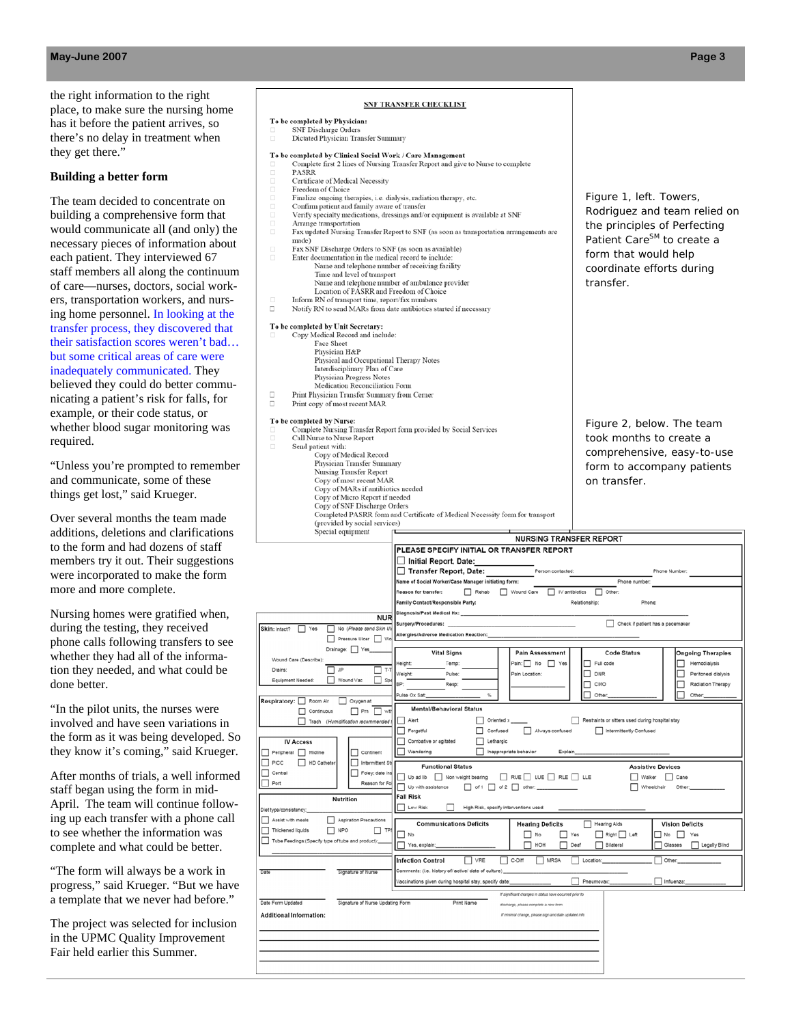the right information to the right place, to make sure the nursing home has it before the patient arrives, so there's no delay in treatment when they get there."

#### **Building a better form**

The team decided to concentrate on building a comprehensive form that would communicate all (and only) the necessary pieces of information about each patient. They interviewed 67 staff members all along the continuum of care—nurses, doctors, social workers, transportation workers, and nursing home personnel. In looking at the transfer process, they discovered that their satisfaction scores weren't bad… but some critical areas of care were inadequately communicated. They believed they could do better communicating a patient's risk for falls, for example, or their code status, or whether blood sugar monitoring was required.

"Unless you're prompted to remember and communicate, some of these things get lost," said Krueger.

Over several months the team made additions, deletions and clarifications to the form and had dozens of staff members try it out. Their suggestions were incorporated to make the form more and more complete.

Nursing homes were gratified when, during the testing, they received phone calls following transfers to see whether they had all of the information they needed, and what could be done better.

"In the pilot units, the nurses were involved and have seen variations in the form as it was being developed. So they know it's coming," said Krueger.

After months of trials, a well informed staff began using the form in mid-April. The team will continue following up each transfer with a phone call to see whether the information was complete and what could be better.

"The form will always be a work in progress," said Krueger. "But we have a template that we never had before."

The project was selected for inclusion in the UPMC Quality Improvement Fair held earlier this Summer.

#### **SNF TRANSFER CHECKLIST**

| To be completed by Physician:                                                                        |                                                                                                                             |                                                                              |  |  |
|------------------------------------------------------------------------------------------------------|-----------------------------------------------------------------------------------------------------------------------------|------------------------------------------------------------------------------|--|--|
| SNF Discharge Orders<br>ο<br>$\Box$<br>Dictated Physician Transfer Summary                           |                                                                                                                             |                                                                              |  |  |
|                                                                                                      |                                                                                                                             |                                                                              |  |  |
| To be completed by Clinical Social Work / Care Management<br>ο                                       | Complete first 2 lines of Nursing Transfer Report and give to Nurse to complete                                             |                                                                              |  |  |
| $\Box$<br><b>PASRR</b>                                                                               |                                                                                                                             |                                                                              |  |  |
| α<br>Certificate of Medical Necessity<br>Freedom of Choice<br>$\Box$                                 |                                                                                                                             |                                                                              |  |  |
| Finalize ongoing therapies, i.e. dialysis, radiation therapy, etc.<br>α                              |                                                                                                                             | Figure 1, left. Towers,                                                      |  |  |
| $\Box$<br>Confirm patient and family aware of transfer                                               |                                                                                                                             | Rodriguez and team relied on                                                 |  |  |
| о<br>α<br>Arrange transportation                                                                     | Verify specialty medications, dressings and/or equipment is available at SNF                                                | the principles of Perfecting                                                 |  |  |
| α                                                                                                    | Fax updated Nursing Transfer Report to SNF (as soon as transportation arrangements are                                      |                                                                              |  |  |
| made)<br>$\Box$<br>Fax SNF Discharge Orders to SNF (as soon as available)                            |                                                                                                                             | Patient Care <sup>SM</sup> to create a                                       |  |  |
| Enter documentation in the medical record to include:<br>α                                           | form that would help                                                                                                        |                                                                              |  |  |
| Name and telephone number of receiving facility<br>Time and level of transport                       | coordinate efforts during                                                                                                   |                                                                              |  |  |
| Name and telephone number of ambulance provider                                                      | transfer.                                                                                                                   |                                                                              |  |  |
| Location of PASRR and Freedom of Choice<br>$\Box$<br>Inform RN of transport time, report/fax numbers |                                                                                                                             |                                                                              |  |  |
| Notify RN to send MARs from date antibiotics started if necessary<br>о                               |                                                                                                                             |                                                                              |  |  |
|                                                                                                      |                                                                                                                             |                                                                              |  |  |
| To be completed by Unit Secretary:<br>Copy Medical Record and include:                               |                                                                                                                             |                                                                              |  |  |
| Face Sheet                                                                                           |                                                                                                                             |                                                                              |  |  |
| Physician H&P<br>Physical and Occupational Therapy Notes                                             |                                                                                                                             |                                                                              |  |  |
| Interdisciplinary Plan of Care                                                                       |                                                                                                                             |                                                                              |  |  |
| Physician Progress Notes                                                                             |                                                                                                                             |                                                                              |  |  |
| Medication Reconciliation Form<br>Print Physician Transfer Summary from Cerner<br>о                  |                                                                                                                             |                                                                              |  |  |
| о<br>Print copy of most recent MAR                                                                   |                                                                                                                             |                                                                              |  |  |
| To be completed by Nurse:                                                                            |                                                                                                                             |                                                                              |  |  |
| α                                                                                                    | Complete Nursing Transfer Report form provided by Social Services                                                           | Figure 2, below. The team                                                    |  |  |
| $\Box$<br>Call Nurse to Nurse Report<br>$\Box$<br>Send patient with:                                 |                                                                                                                             | took months to create a                                                      |  |  |
| Copy of Medical Record                                                                               |                                                                                                                             | comprehensive, easy-to-use                                                   |  |  |
| Physician Transfer Summary                                                                           |                                                                                                                             | form to accompany patients                                                   |  |  |
| Nursing Transfer Report<br>Copy of most recent MAR                                                   |                                                                                                                             | on transfer.                                                                 |  |  |
| Copy of MARs if antibiotics needed                                                                   |                                                                                                                             |                                                                              |  |  |
| Copy of Micro Report if needed<br>Copy of SNF Discharge Orders                                       |                                                                                                                             |                                                                              |  |  |
|                                                                                                      | Completed PASRR form and Certificate of Medical Necessity form for transport                                                |                                                                              |  |  |
| (provided by social services)<br>Special equipment                                                   |                                                                                                                             |                                                                              |  |  |
|                                                                                                      | <b>NURSING TRANSFER REPORT</b>                                                                                              |                                                                              |  |  |
|                                                                                                      | PLEASE SPECIFY INITIAL OR TRANSFER REPORT                                                                                   |                                                                              |  |  |
|                                                                                                      |                                                                                                                             |                                                                              |  |  |
|                                                                                                      | Initial Report, Date:                                                                                                       |                                                                              |  |  |
|                                                                                                      | Transfer Report, Date:<br>Person contacted:                                                                                 | Phone Numbe                                                                  |  |  |
|                                                                                                      | Name of Social Worker/Case Manager initiating form:<br>Reason for transfer:<br>Rehab<br>Wound Care<br>$\Box$ IV antibiotics | Phone number<br>$\Box$ Other:                                                |  |  |
|                                                                                                      | Family Contact/Responsible Party:                                                                                           | Relationship:<br>Phone                                                       |  |  |
|                                                                                                      | Diagnosis/Past Medical Hx:                                                                                                  |                                                                              |  |  |
| <b>NUR</b><br>$\Box$ Yes<br>No (Please send Skin U                                                   | Surgery/Procedures:                                                                                                         | Check if patient has a pacemaker                                             |  |  |
| Skin: Intact?<br>Pressure Ulcer Viv                                                                  | Allergies/Adverse Medication Reaction:                                                                                      |                                                                              |  |  |
| Drainage: Yes                                                                                        | <b>Vital Signs</b><br><b>Pain Assessment</b>                                                                                | <b>Code Status</b>                                                           |  |  |
| Wound Care (Describe):                                                                               | $\n  Pair: \square No \square Yes$<br>Temp:<br>Height                                                                       | <b>Ongoing Therapies</b><br>Full code<br>Hemodialysis                        |  |  |
| <b>□</b> JP<br>$\Box$ T-T<br>Drains:                                                                 | Pain Location:<br>Weight:<br>Pulse                                                                                          | <b>DNR</b><br>Peritoneal dialysis                                            |  |  |
| $\Box$ Spe<br>Equipment Needed:<br>Wound Vac                                                         | BP<br>Resp                                                                                                                  | CMO<br>Radiation Therapy                                                     |  |  |
| Oxygen at                                                                                            | e Ox Sat                                                                                                                    |                                                                              |  |  |
| Respiratory: Room Air<br>$\Box$ Prn $\Box$ with<br>$\Box$ Continuous                                 | <b>Mental/Behavioral Status</b>                                                                                             |                                                                              |  |  |
| Trach (Humidification recommended                                                                    | $\Box$ Oriented x _<br>Alert                                                                                                | Restraints or sitters used during hospital stay                              |  |  |
|                                                                                                      | Always confused<br>Forgetful<br>Confused                                                                                    | Intermittently Confused                                                      |  |  |
| <b>IV Access</b>                                                                                     | Combative or agitated<br>Lethargic                                                                                          |                                                                              |  |  |
| Peripheral Midline<br>Continent                                                                      | Wandering<br>Inappropriate behavior<br>Explain                                                                              |                                                                              |  |  |
| PICC<br>HD Catheter<br>Intermittent St<br>Foley; date in<br>п<br>Central                             | <b>Functional Status</b>                                                                                                    | <b>Assistive Devices</b>                                                     |  |  |
| Port<br>Reason for Fo<br>L.                                                                          | Up ad ib Non weight bearing RUE LUE LE RLE LUE                                                                              | Walker Cane                                                                  |  |  |
|                                                                                                      | $\Box$ of 1 $\Box$ of 2 $\Box$ other:<br>Up with assistance<br><b>Fall Risk</b>                                             | Wheelchair<br>Othe                                                           |  |  |
| <b>Nutrition</b>                                                                                     | Low Risk<br>High Risk, specify interventions used:                                                                          |                                                                              |  |  |
| Aspiration Precautions<br>Assist with meals                                                          |                                                                                                                             |                                                                              |  |  |
| Thickened liquids<br>NPO<br>$\Box$ TP                                                                | <b>Communications Deficits</b><br><b>Hearing Deficits</b><br>$\Box$ No<br>$\Box$ Yes<br>No                                  | Hearing Aids<br><b>Vision Deficits</b><br>Right Left<br>$\Box$ No $\Box$ Yes |  |  |
| Tube Feedings: (Specify type of tube and product):                                                   | ∏ нон<br>$\Box$ Deaf<br>Yes, explain:                                                                                       | Bilateral<br>$\Box$ Glasses<br>Legally Blind                                 |  |  |
|                                                                                                      |                                                                                                                             | Location:                                                                    |  |  |
| Signature of Nurse                                                                                   | C-Diff<br>$\Box$ MRSA<br><b>Infection Control</b><br>VRE<br>Comments: (i.e. history of/ active/ date of culture)            | Other:                                                                       |  |  |
|                                                                                                      | Vaccinations given during hospital stay, specify date:                                                                      | Pneumovax:<br>Influenza                                                      |  |  |
|                                                                                                      | If significant changes in status have occurred prior to                                                                     |                                                                              |  |  |
| Diet type/consistency:<br>Date<br>Date Form Updated<br>Signature of Nurse Updating Form              | Print Name<br>lscharge, please complete a new form                                                                          |                                                                              |  |  |
|                                                                                                      | If minimal change, please sign and date updated info                                                                        |                                                                              |  |  |
| <b>Additional Information:</b>                                                                       |                                                                                                                             |                                                                              |  |  |
|                                                                                                      |                                                                                                                             |                                                                              |  |  |
|                                                                                                      |                                                                                                                             |                                                                              |  |  |
|                                                                                                      |                                                                                                                             |                                                                              |  |  |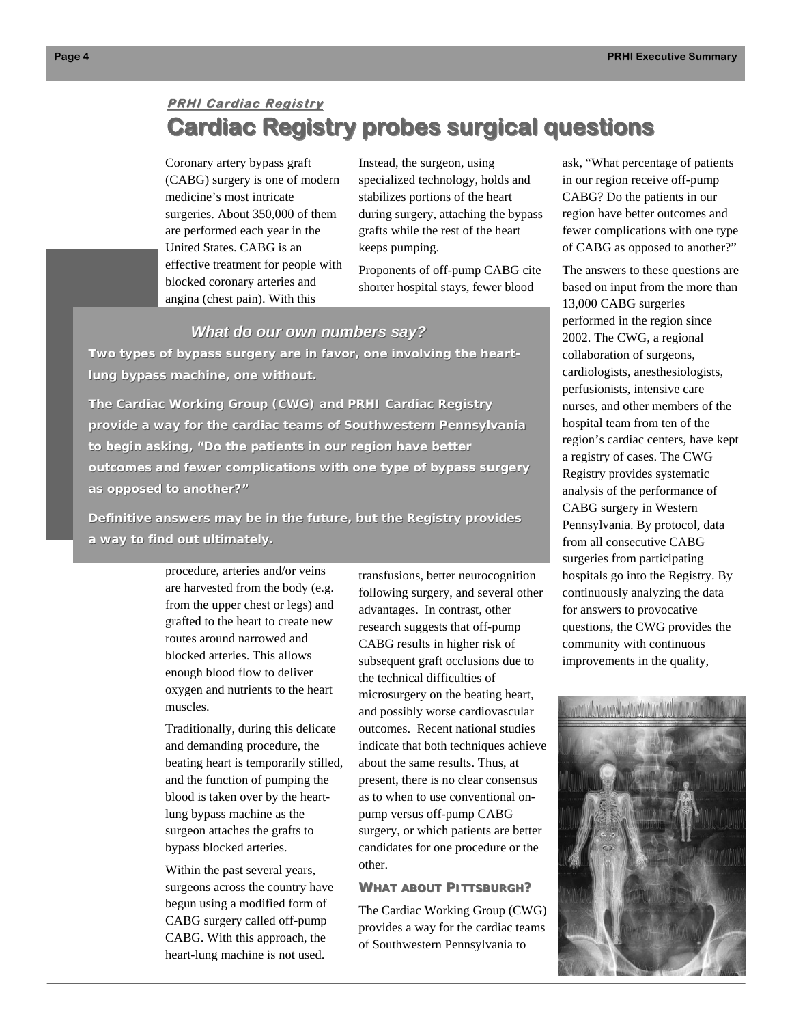# **PRHI Cardiac Registry Cardiac Registry probes surgical questions Cardiac Registry probes surgical questions**

Coronary artery bypass graft (CABG) surgery is one of modern medicine's most intricate surgeries. About 350,000 of them are performed each year in the United States. CABG is an effective treatment for people with blocked coronary arteries and angina (chest pain). With this

Instead, the surgeon, using specialized technology, holds and stabilizes portions of the heart during surgery, attaching the bypass grafts while the rest of the heart keeps pumping.

Proponents of off-pump CABG cite shorter hospital stays, fewer blood

### *What do our own numbers say? What do our own numbers say?*

*Two types of bypass surgery are in favor, one involving the heartlung bypass machine, one without.* 

*The Cardiac Working Group (CWG) and PRHI Cardiac Registry The Cardiac Working Group (CWG) and PRHI Cardiac Registry provide a way for the cardiac teams of Southwestern Pennsylvania to begin asking, "Do the patients in our region have better outcomes and fewer complications with one type of bypass surgery outcomes and fewer complications with one type of bypass surgery as opposed to another?" as opposed to another?"* 

*Definitive answers may be in the future, but the Registry provides a way to find out ultimately. a way to find out ultimately.*

> procedure, arteries and/or veins are harvested from the body (e.g. from the upper chest or legs) and grafted to the heart to create new routes around narrowed and blocked arteries. This allows enough blood flow to deliver oxygen and nutrients to the heart muscles.

Traditionally, during this delicate and demanding procedure, the beating heart is temporarily stilled, and the function of pumping the blood is taken over by the heartlung bypass machine as the surgeon attaches the grafts to bypass blocked arteries.

Within the past several years, surgeons across the country have begun using a modified form of CABG surgery called off-pump CABG. With this approach, the heart-lung machine is not used.

transfusions, better neurocognition following surgery, and several other advantages. In contrast, other research suggests that off-pump CABG results in higher risk of subsequent graft occlusions due to the technical difficulties of microsurgery on the beating heart, and possibly worse cardiovascular outcomes. Recent national studies indicate that both techniques achieve about the same results. Thus, at present, there is no clear consensus as to when to use conventional onpump versus off-pump CABG surgery, or which patients are better candidates for one procedure or the other.

#### **WHAT ABOUT PITTSBURGH?**

The Cardiac Working Group (CWG) provides a way for the cardiac teams of Southwestern Pennsylvania to

ask, "What percentage of patients in our region receive off-pump CABG? Do the patients in our region have better outcomes and fewer complications with one type of CABG as opposed to another?"

The answers to these questions are based on input from the more than 13,000 CABG surgeries performed in the region since 2002. The CWG, a regional collaboration of surgeons, cardiologists, anesthesiologists, perfusionists, intensive care nurses, and other members of the hospital team from ten of the region's cardiac centers, have kept a registry of cases. The CWG Registry provides systematic analysis of the performance of CABG surgery in Western Pennsylvania. By protocol, data from all consecutive CABG surgeries from participating hospitals go into the Registry. By continuously analyzing the data for answers to provocative questions, the CWG provides the community with continuous improvements in the quality,

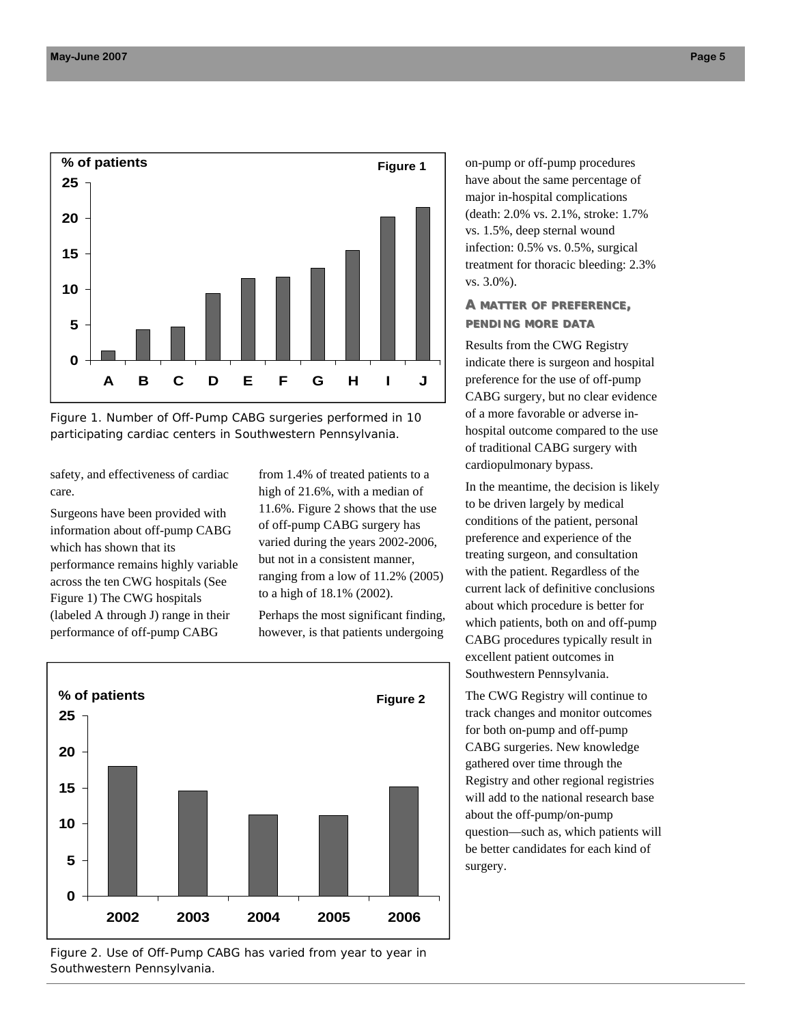

*Figure 1. Number of Off-Pump CABG surgeries performed in 10 participating cardiac centers in Southwestern Pennsylvania.* 

safety, and effectiveness of cardiac care.

Surgeons have been provided with information about off-pump CABG which has shown that its performance remains highly variable across the ten CWG hospitals (See Figure 1) The CWG hospitals (labeled A through J) range in their performance of off-pump CABG

from 1.4% of treated patients to a high of 21.6%, with a median of 11.6%. Figure 2 shows that the use of off-pump CABG surgery has varied during the years 2002-2006, but not in a consistent manner, ranging from a low of 11.2% (2005) to a high of 18.1% (2002).

Perhaps the most significant finding, however, is that patients undergoing



*Figure 2. Use of Off-Pump CABG has varied from year to year in Southwestern Pennsylvania.* 

on-pump or off-pump procedures have about the same percentage of major in-hospital complications (death: 2.0% vs. 2.1%, stroke: 1.7% vs. 1.5%, deep sternal wound infection: 0.5% vs. 0.5%, surgical treatment for thoracic bleeding: 2.3% vs. 3.0%).

### **A MATTER OF PREFERENCE, PENDING MORE DATA**

Results from the CWG Registry indicate there is surgeon and hospital preference for the use of off-pump CABG surgery, but no clear evidence of a more favorable or adverse inhospital outcome compared to the use of traditional CABG surgery with cardiopulmonary bypass.

In the meantime, the decision is likely to be driven largely by medical conditions of the patient, personal preference and experience of the treating surgeon, and consultation with the patient. Regardless of the current lack of definitive conclusions about which procedure is better for which patients, both on and off-pump CABG procedures typically result in excellent patient outcomes in Southwestern Pennsylvania.

The CWG Registry will continue to track changes and monitor outcomes for both on-pump and off-pump CABG surgeries. New knowledge gathered over time through the Registry and other regional registries will add to the national research base about the off-pump/on-pump question—such as, which patients will be better candidates for each kind of surgery.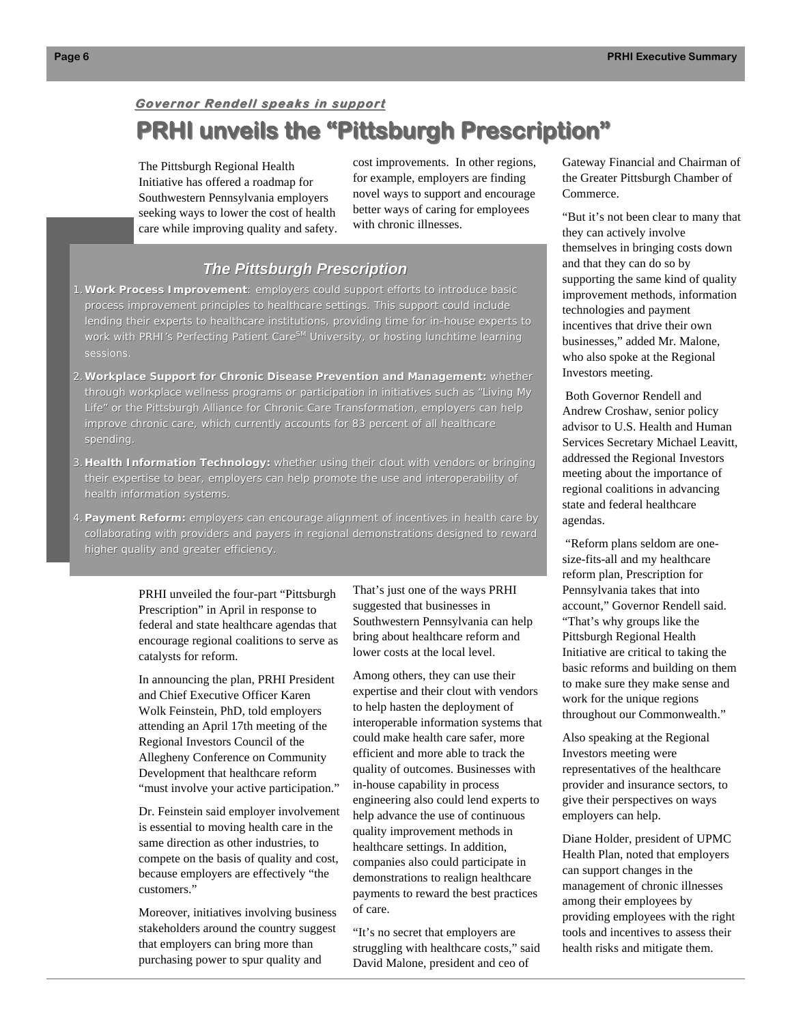# **Governor Rendell speaks in support Governor Rendell speaks in support PRHI unveils the "Pittsburgh Prescription" PRHI unveils the "Pittsburgh Prescription"**

The Pittsburgh Regional Health Initiative has offered a roadmap for Southwestern Pennsylvania employers seeking ways to lower the cost of health care while improving quality and safety.

cost improvements. In other regions, for example, employers are finding novel ways to support and encourage better ways of caring for employees with chronic illnesses.

## *The Pittsburgh Prescription The Pittsburgh Prescription*

- 1. Work Process Improvement: employers could support efforts to introduce basic process improvement principles to healthcare settings. This support could include lending their experts to healthcare institutions, providing time for in-house experts to work with PRHI's Perfecting Patient Care<sup>SM</sup> University, or hosting lunchtime learning sessions.
- 2.**Workplace Support for Chronic Disease Prevention and Management: Workplace Support for Chronic Disease Prevention and Management:** whether whether through workplace wellness programs or participation in initiatives such as "Living My Life" or the Pittsburgh Alliance for Chronic Care Transformation, employers can help improve chronic care, which currently accounts for 83 percent of all healthcare spending.
- 3. Health Information Technology: whether using their clout with vendors or bringing their expertise to bear, employers can help promote the use and interoperability of health information systems.
- 4. Payment Reform: employers can encourage alignment of incentives in health care by collaborating with providers and payers in regional demonstrations designed to reward higher quality and greater efficiency.

PRHI unveiled the four-part "Pittsburgh Prescription" in April in response to federal and state healthcare agendas that encourage regional coalitions to serve as catalysts for reform.

In announcing the plan, PRHI President and Chief Executive Officer Karen Wolk Feinstein, PhD, told employers attending an April 17th meeting of the Regional Investors Council of the Allegheny Conference on Community Development that healthcare reform "must involve your active participation."

Dr. Feinstein said employer involvement is essential to moving health care in the same direction as other industries, to compete on the basis of quality and cost, because employers are effectively "the customers."

Moreover, initiatives involving business stakeholders around the country suggest that employers can bring more than purchasing power to spur quality and

That's just one of the ways PRHI suggested that businesses in Southwestern Pennsylvania can help bring about healthcare reform and lower costs at the local level.

Among others, they can use their expertise and their clout with vendors to help hasten the deployment of interoperable information systems that could make health care safer, more efficient and more able to track the quality of outcomes. Businesses with in-house capability in process engineering also could lend experts to help advance the use of continuous quality improvement methods in healthcare settings. In addition, companies also could participate in demonstrations to realign healthcare payments to reward the best practices of care.

"It's no secret that employers are struggling with healthcare costs," said David Malone, president and ceo of

Gateway Financial and Chairman of the Greater Pittsburgh Chamber of Commerce.

"But it's not been clear to many that they can actively involve themselves in bringing costs down and that they can do so by supporting the same kind of quality improvement methods, information technologies and payment incentives that drive their own businesses," added Mr. Malone, who also spoke at the Regional Investors meeting.

 Both Governor Rendell and Andrew Croshaw, senior policy advisor to U.S. Health and Human Services Secretary Michael Leavitt, addressed the Regional Investors meeting about the importance of regional coalitions in advancing state and federal healthcare agendas.

 "Reform plans seldom are onesize-fits-all and my healthcare reform plan, Prescription for Pennsylvania takes that into account," Governor Rendell said. "That's why groups like the Pittsburgh Regional Health Initiative are critical to taking the basic reforms and building on them to make sure they make sense and work for the unique regions throughout our Commonwealth."

Also speaking at the Regional Investors meeting were representatives of the healthcare provider and insurance sectors, to give their perspectives on ways employers can help.

Diane Holder, president of UPMC Health Plan, noted that employers can support changes in the management of chronic illnesses among their employees by providing employees with the right tools and incentives to assess their health risks and mitigate them.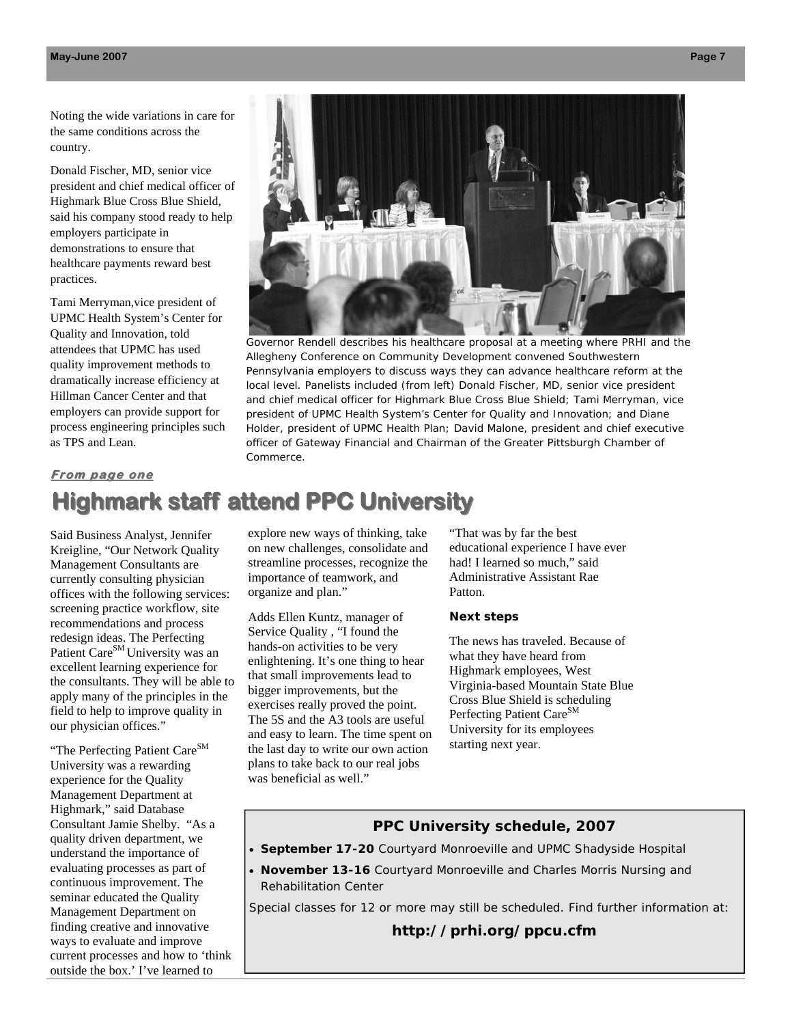Noting the wide variations in care for the same conditions across the country.

Donald Fischer, MD, senior vice president and chief medical officer of Highmark Blue Cross Blue Shield, said his company stood ready to help employers participate in demonstrations to ensure that healthcare payments reward best practices.

Tami Merryman,vice president of UPMC Health System's Center for Quality and Innovation, told attendees that UPMC has used quality improvement methods to dramatically increase efficiency at Hillman Cancer Center and that employers can provide support for process engineering principles such as TPS and Lean.



Governor Rendell describes his healthcare proposal at a meeting where PRHI and the Allegheny Conference on Community Development convened Southwestern Pennsylvania employers to discuss ways they can advance healthcare reform at the local level. Panelists included (from left) Donald Fischer, MD, senior vice president and chief medical officer for Highmark Blue Cross Blue Shield; Tami Merryman, vice president of UPMC Health System's Center for Quality and Innovation; and Diane Holder, president of UPMC Health Plan; David Malone, president and chief executive officer of Gateway Financial and Chairman of the Greater Pittsburgh Chamber of Commerce.

#### **From page one**

# **Highmark staff attend PPC University**

Said Business Analyst, Jennifer Kreigline, "Our Network Quality Management Consultants are currently consulting physician offices with the following services: screening practice workflow, site recommendations and process redesign ideas. The Perfecting Patient Care<sup>SM</sup> University was an excellent learning experience for the consultants. They will be able to apply many of the principles in the field to help to improve quality in our physician offices."

"The Perfecting Patient Care<sup>SM</sup> University was a rewarding experience for the Quality Management Department at Highmark," said Database Consultant Jamie Shelby. "As a quality driven department, we understand the importance of evaluating processes as part of continuous improvement. The seminar educated the Quality Management Department on finding creative and innovative ways to evaluate and improve current processes and how to 'think outside the box.' I've learned to

explore new ways of thinking, take on new challenges, consolidate and streamline processes, recognize the importance of teamwork, and organize and plan."

Adds Ellen Kuntz, manager of Service Quality , "I found the hands-on activities to be very enlightening. It's one thing to hear that small improvements lead to bigger improvements, but the exercises really proved the point. The 5S and the A3 tools are useful and easy to learn. The time spent on the last day to write our own action plans to take back to our real jobs was beneficial as well."

"That was by far the best educational experience I have ever had! I learned so much," said Administrative Assistant Rae Patton.

#### **Next steps**

The news has traveled. Because of what they have heard from Highmark employees, West Virginia-based Mountain State Blue Cross Blue Shield is scheduling Perfecting Patient Care<sup>SM</sup> University for its employees starting next year.

### **PPC University schedule, 2007**

- **September 17-20** Courtyard Monroeville and UPMC Shadyside Hospital
- **November 13-16** Courtyard Monroeville and Charles Morris Nursing and Rehabilitation Center

*Special classes for 12 or more may still be scheduled. Find further information at:* 

**http://prhi.org/ppcu.cfm**